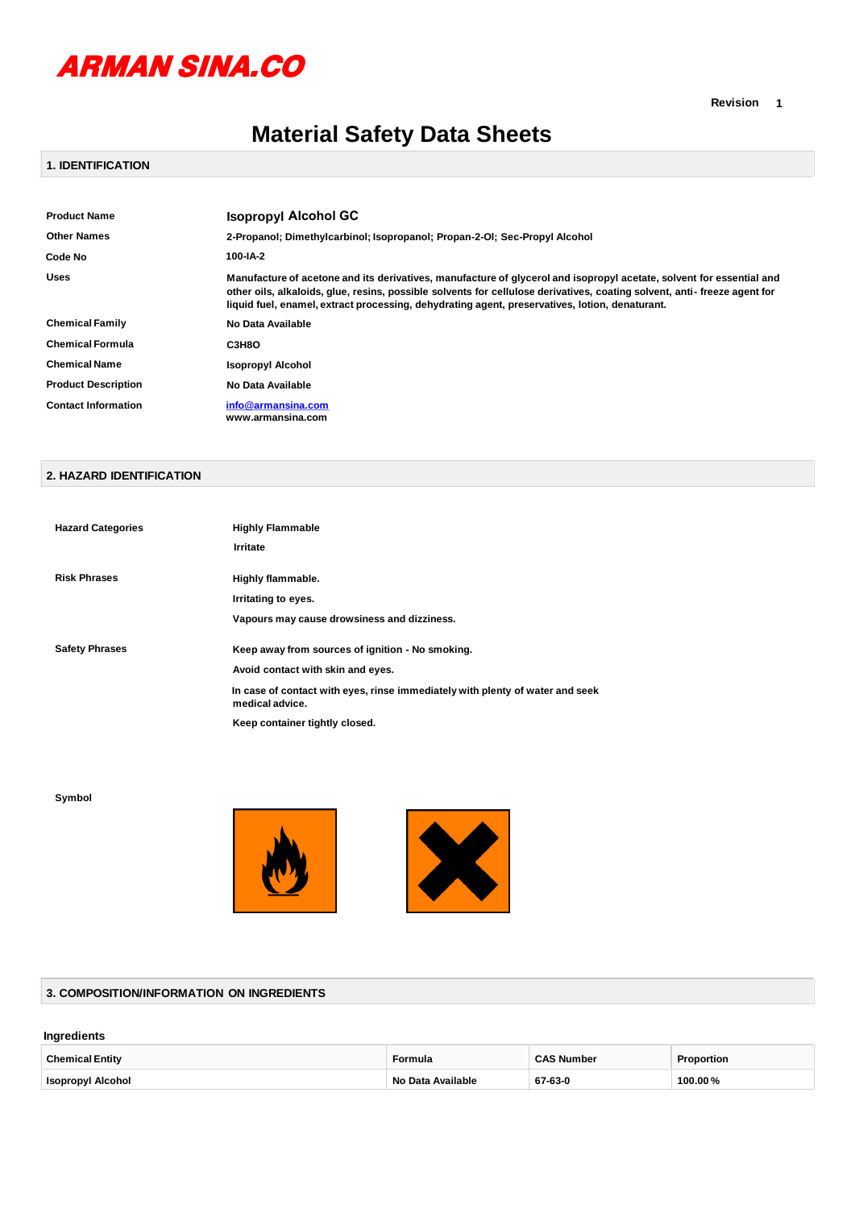

# **Material Safety Data Sheets**

# **1. IDENTIFICATION**

| <b>Product Name</b>        | <b>Isopropyl Alcohol GC</b>                                                                                                                                                                                                                                                                                                                        |
|----------------------------|----------------------------------------------------------------------------------------------------------------------------------------------------------------------------------------------------------------------------------------------------------------------------------------------------------------------------------------------------|
| <b>Other Names</b>         | 2-Propanol; Dimethylcarbinol; Isopropanol; Propan-2-OI; Sec-Propyl Alcohol                                                                                                                                                                                                                                                                         |
| Code No                    | 100-IA-2                                                                                                                                                                                                                                                                                                                                           |
| <b>Uses</b>                | Manufacture of acetone and its derivatives, manufacture of glycerol and isopropyl acetate, solvent for essential and<br>other oils, alkaloids, glue, resins, possible solvents for cellulose derivatives, coating solvent, anti-freeze agent for<br>liquid fuel, enamel, extract processing, dehydrating agent, preservatives, lotion, denaturant. |
| <b>Chemical Family</b>     | No Data Available                                                                                                                                                                                                                                                                                                                                  |
| <b>Chemical Formula</b>    | СЗН8О                                                                                                                                                                                                                                                                                                                                              |
| <b>Chemical Name</b>       | <b>Isopropyl Alcohol</b>                                                                                                                                                                                                                                                                                                                           |
| <b>Product Description</b> | No Data Available                                                                                                                                                                                                                                                                                                                                  |
| <b>Contact Information</b> | info@armansina.com<br>www.armansina.com                                                                                                                                                                                                                                                                                                            |

#### **2. HAZARD IDENTIFICATION**

| <b>Hazard Categories</b> | <b>Highly Flammable</b>                                                                          |
|--------------------------|--------------------------------------------------------------------------------------------------|
|                          | Irritate                                                                                         |
|                          |                                                                                                  |
| <b>Risk Phrases</b>      | Highly flammable.                                                                                |
|                          | Irritating to eyes.                                                                              |
|                          | Vapours may cause drowsiness and dizziness.                                                      |
| <b>Safety Phrases</b>    | Keep away from sources of ignition - No smoking.                                                 |
|                          | Avoid contact with skin and eyes.                                                                |
|                          | In case of contact with eyes, rinse immediately with plenty of water and seek<br>medical advice. |
|                          | Keep container tightly closed.                                                                   |

**Symbol**





# **3. COMPOSITION/INFORMATION ON INGREDIENTS**

#### **Ingredients**

| <b>Chemical Entity</b>             | Formula                     | $\sim$ $\sim$ $\sim$<br>Number | Proportion<br>. |
|------------------------------------|-----------------------------|--------------------------------|-----------------|
| <b>Isopropyl Alcohol</b><br>------ | <b>No</b><br>Available<br>. | 67-63-0                        | 100.00%         |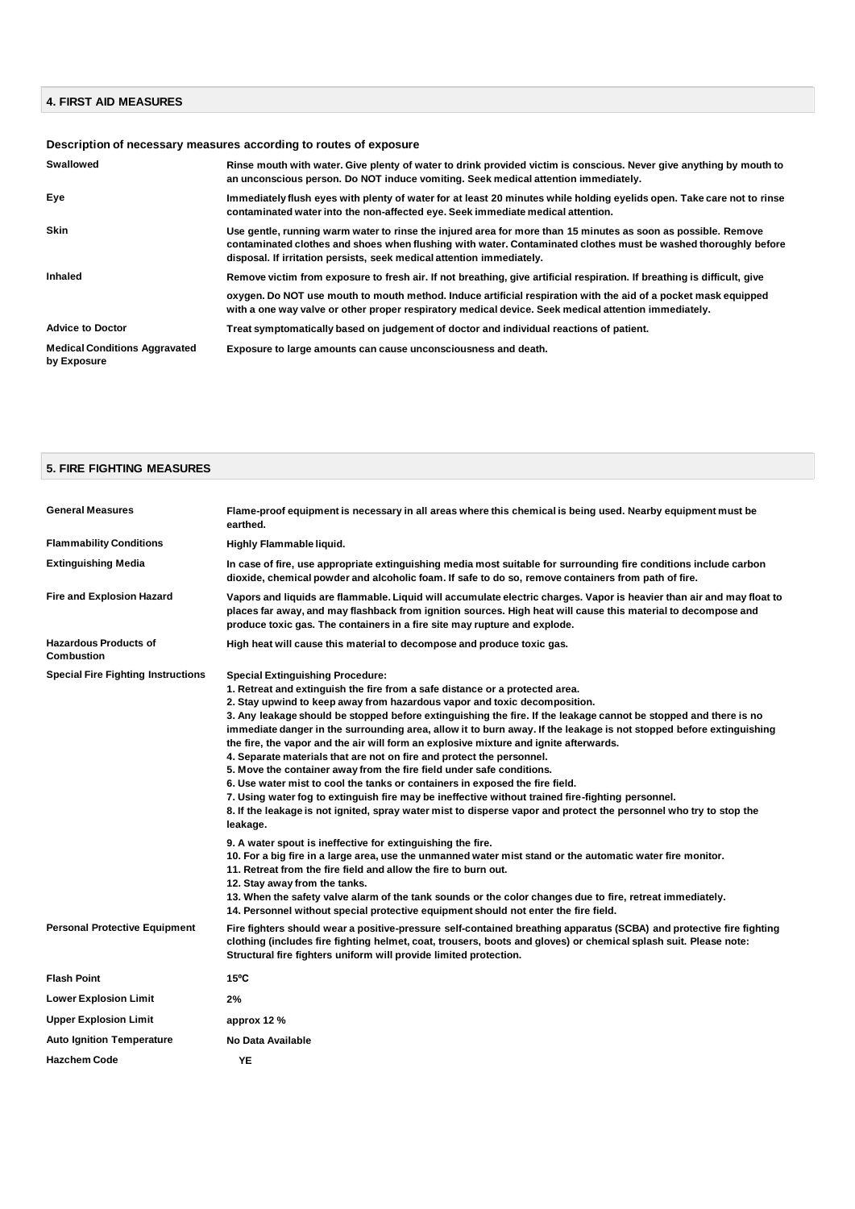#### **4. FIRST AID MEASURES**

# **Description of necessary measures according to routes of exposure**

| Swallowed                                           | Rinse mouth with water. Give plenty of water to drink provided victim is conscious. Never give anything by mouth to<br>an unconscious person. Do NOT induce vomiting. Seek medical attention immediately.                                                                                                |
|-----------------------------------------------------|----------------------------------------------------------------------------------------------------------------------------------------------------------------------------------------------------------------------------------------------------------------------------------------------------------|
| Eye                                                 | Immediately flush eyes with plenty of water for at least 20 minutes while holding eyelids open. Take care not to rinse<br>contaminated water into the non-affected eye. Seek immediate medical attention.                                                                                                |
| <b>Skin</b>                                         | Use gentle, running warm water to rinse the injured area for more than 15 minutes as soon as possible. Remove<br>contaminated clothes and shoes when flushing with water. Contaminated clothes must be washed thoroughly before<br>disposal. If irritation persists, seek medical attention immediately. |
| Inhaled                                             | Remove victim from exposure to fresh air. If not breathing, give artificial respiration. If breathing is difficult, give                                                                                                                                                                                 |
|                                                     | oxygen. Do NOT use mouth to mouth method. Induce artificial respiration with the aid of a pocket mask equipped<br>with a one way valve or other proper respiratory medical device. Seek medical attention immediately.                                                                                   |
| <b>Advice to Doctor</b>                             | Treat symptomatically based on judgement of doctor and individual reactions of patient.                                                                                                                                                                                                                  |
| <b>Medical Conditions Aggravated</b><br>by Exposure | Exposure to large amounts can cause unconsciousness and death.                                                                                                                                                                                                                                           |

# **5. FIRE FIGHTING MEASURES**

| <b>General Measures</b>                           | Flame-proof equipment is necessary in all areas where this chemical is being used. Nearby equipment must be<br>earthed.                                                                                                                                                                                                                                                                                                                                                                                                                                                                                                                                                                                                                                                                                                                                                                                                                                                                                                                                                                                                                                                                                                                                                                                                                                                                                                                                                                                |
|---------------------------------------------------|--------------------------------------------------------------------------------------------------------------------------------------------------------------------------------------------------------------------------------------------------------------------------------------------------------------------------------------------------------------------------------------------------------------------------------------------------------------------------------------------------------------------------------------------------------------------------------------------------------------------------------------------------------------------------------------------------------------------------------------------------------------------------------------------------------------------------------------------------------------------------------------------------------------------------------------------------------------------------------------------------------------------------------------------------------------------------------------------------------------------------------------------------------------------------------------------------------------------------------------------------------------------------------------------------------------------------------------------------------------------------------------------------------------------------------------------------------------------------------------------------------|
| <b>Flammability Conditions</b>                    | Highly Flammable liquid.                                                                                                                                                                                                                                                                                                                                                                                                                                                                                                                                                                                                                                                                                                                                                                                                                                                                                                                                                                                                                                                                                                                                                                                                                                                                                                                                                                                                                                                                               |
| <b>Extinguishing Media</b>                        | In case of fire, use appropriate extinguishing media most suitable for surrounding fire conditions include carbon<br>dioxide, chemical powder and alcoholic foam. If safe to do so, remove containers from path of fire.                                                                                                                                                                                                                                                                                                                                                                                                                                                                                                                                                                                                                                                                                                                                                                                                                                                                                                                                                                                                                                                                                                                                                                                                                                                                               |
| <b>Fire and Explosion Hazard</b>                  | Vapors and liquids are flammable. Liquid will accumulate electric charges. Vapor is heavier than air and may float to<br>places far away, and may flashback from ignition sources. High heat will cause this material to decompose and<br>produce toxic gas. The containers in a fire site may rupture and explode.                                                                                                                                                                                                                                                                                                                                                                                                                                                                                                                                                                                                                                                                                                                                                                                                                                                                                                                                                                                                                                                                                                                                                                                    |
| <b>Hazardous Products of</b><br><b>Combustion</b> | High heat will cause this material to decompose and produce toxic gas.                                                                                                                                                                                                                                                                                                                                                                                                                                                                                                                                                                                                                                                                                                                                                                                                                                                                                                                                                                                                                                                                                                                                                                                                                                                                                                                                                                                                                                 |
| <b>Special Fire Fighting Instructions</b>         | <b>Special Extinguishing Procedure:</b><br>1. Retreat and extinguish the fire from a safe distance or a protected area.<br>2. Stay upwind to keep away from hazardous vapor and toxic decomposition.<br>3. Any leakage should be stopped before extinguishing the fire. If the leakage cannot be stopped and there is no<br>immediate danger in the surrounding area, allow it to burn away. If the leakage is not stopped before extinguishing<br>the fire, the vapor and the air will form an explosive mixture and ignite afterwards.<br>4. Separate materials that are not on fire and protect the personnel.<br>5. Move the container away from the fire field under safe conditions.<br>6. Use water mist to cool the tanks or containers in exposed the fire field.<br>7. Using water fog to extinguish fire may be ineffective without trained fire-fighting personnel.<br>8. If the leakage is not ignited, spray water mist to disperse vapor and protect the personnel who try to stop the<br>leakage.<br>9. A water spout is ineffective for extinguishing the fire.<br>10. For a big fire in a large area, use the unmanned water mist stand or the automatic water fire monitor.<br>11. Retreat from the fire field and allow the fire to burn out.<br>12. Stay away from the tanks.<br>13. When the safety valve alarm of the tank sounds or the color changes due to fire, retreat immediately.<br>14. Personnel without special protective equipment should not enter the fire field. |
| <b>Personal Protective Equipment</b>              | Fire fighters should wear a positive-pressure self-contained breathing apparatus (SCBA) and protective fire fighting<br>clothing (includes fire fighting helmet, coat, trousers, boots and gloves) or chemical splash suit. Please note:<br>Structural fire fighters uniform will provide limited protection.                                                                                                                                                                                                                                                                                                                                                                                                                                                                                                                                                                                                                                                                                                                                                                                                                                                                                                                                                                                                                                                                                                                                                                                          |
| <b>Flash Point</b>                                | 15°C                                                                                                                                                                                                                                                                                                                                                                                                                                                                                                                                                                                                                                                                                                                                                                                                                                                                                                                                                                                                                                                                                                                                                                                                                                                                                                                                                                                                                                                                                                   |
| <b>Lower Explosion Limit</b>                      | 2%                                                                                                                                                                                                                                                                                                                                                                                                                                                                                                                                                                                                                                                                                                                                                                                                                                                                                                                                                                                                                                                                                                                                                                                                                                                                                                                                                                                                                                                                                                     |
| <b>Upper Explosion Limit</b>                      | approx 12 %                                                                                                                                                                                                                                                                                                                                                                                                                                                                                                                                                                                                                                                                                                                                                                                                                                                                                                                                                                                                                                                                                                                                                                                                                                                                                                                                                                                                                                                                                            |
| <b>Auto Ignition Temperature</b>                  | No Data Available                                                                                                                                                                                                                                                                                                                                                                                                                                                                                                                                                                                                                                                                                                                                                                                                                                                                                                                                                                                                                                                                                                                                                                                                                                                                                                                                                                                                                                                                                      |
| <b>Hazchem Code</b>                               | YE                                                                                                                                                                                                                                                                                                                                                                                                                                                                                                                                                                                                                                                                                                                                                                                                                                                                                                                                                                                                                                                                                                                                                                                                                                                                                                                                                                                                                                                                                                     |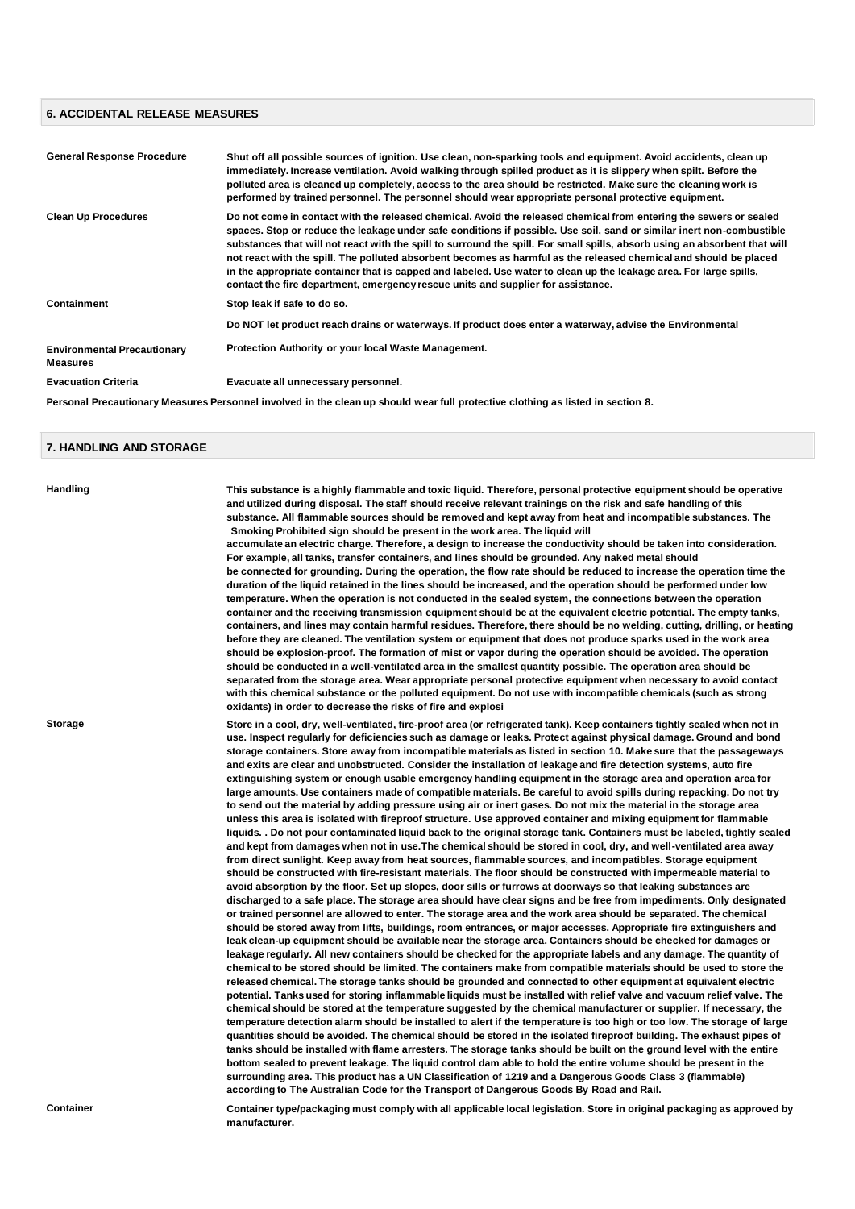#### **6. ACCIDENTAL RELEASE MEASURES**

| <b>General Response Procedure</b>                     | Shut off all possible sources of ignition. Use clean, non-sparking tools and equipment. Avoid accidents, clean up<br>immediately. Increase ventilation. Avoid walking through spilled product as it is slippery when spilt. Before the<br>polluted area is cleaned up completely, access to the area should be restricted. Make sure the cleaning work is<br>performed by trained personnel. The personnel should wear appropriate personal protective equipment.                                                                                                                                                                                                                                       |
|-------------------------------------------------------|---------------------------------------------------------------------------------------------------------------------------------------------------------------------------------------------------------------------------------------------------------------------------------------------------------------------------------------------------------------------------------------------------------------------------------------------------------------------------------------------------------------------------------------------------------------------------------------------------------------------------------------------------------------------------------------------------------|
| <b>Clean Up Procedures</b>                            | Do not come in contact with the released chemical. Avoid the released chemical from entering the sewers or sealed<br>spaces. Stop or reduce the leakage under safe conditions if possible. Use soil, sand or similar inert non-combustible<br>substances that will not react with the spill to surround the spill. For small spills, absorb using an absorbent that will<br>not react with the spill. The polluted absorbent becomes as harmful as the released chemical and should be placed<br>in the appropriate container that is capped and labeled. Use water to clean up the leakage area. For large spills,<br>contact the fire department, emergency rescue units and supplier for assistance. |
| Containment                                           | Stop leak if safe to do so.                                                                                                                                                                                                                                                                                                                                                                                                                                                                                                                                                                                                                                                                             |
|                                                       | Do NOT let product reach drains or waterways. If product does enter a waterway, advise the Environmental                                                                                                                                                                                                                                                                                                                                                                                                                                                                                                                                                                                                |
| <b>Environmental Precautionary</b><br><b>Measures</b> | Protection Authority or your local Waste Management.                                                                                                                                                                                                                                                                                                                                                                                                                                                                                                                                                                                                                                                    |
| <b>Evacuation Criteria</b>                            | Evacuate all unnecessary personnel.                                                                                                                                                                                                                                                                                                                                                                                                                                                                                                                                                                                                                                                                     |

**Personal Precautionary Measures Personnel involved in the clean up should wear full protective clothing as listed in section 8.**

#### **7. HANDLING AND STORAGE**

**Handling This substance is a highly flammable and toxic liquid. Therefore, personal protective equipment should be operative and utilized during disposal. The staff should receive relevant trainings on the risk and safe handling of this substance. All flammable sources should be removed and kept away from heat and incompatible substances. The Smoking Prohibited sign should be present in the work area. The liquid will**

**accumulate an electric charge. Therefore, a design to increase the conductivity should be taken into consideration. For example, all tanks, transfer containers, and lines should be grounded. Any naked metal should be connected for grounding. During the operation, the flow rate should be reduced to increase the operation time the duration of the liquid retained in the lines should be increased, and the operation should be performed under low temperature. When the operation is not conducted in the sealed system, the connections between the operation container and the receiving transmission equipment should be at the equivalent electric potential. The empty tanks, containers, and lines may contain harmful residues. Therefore, there should be no welding, cutting, drilling, or heating before they are cleaned. The ventilation system or equipment that does not produce sparks used in the work area should be explosion-proof. The formation of mist or vapor during the operation should be avoided. The operation should be conducted in a well-ventilated area in the smallest quantity possible. The operation area should be separated from the storage area. Wear appropriate personal protective equipment when necessary to avoid contact with this chemical substance or the polluted equipment. Do not use with incompatible chemicals (such as strong oxidants) in order to decrease the risks of fire and explosi**

**Storage Store in a cool, dry, well-ventilated, fire-proof area (or refrigerated tank). Keep containers tightly sealed when not in use. Inspect regularly for deficiencies such as damage or leaks. Protect against physical damage. Ground and bond storage containers. Store away from incompatible materials as listed in section 10. Make sure that the passageways and exits are clear and unobstructed. Consider the installation of leakage and fire detection systems, auto fire extinguishing system or enough usable emergency handling equipment in the storage area and operation area for large amounts. Use containers made of compatible materials. Be careful to avoid spills during repacking. Do not try to send out the material by adding pressure using air or inert gases. Do not mix the material in the storage area unless this area is isolated with fireproof structure. Use approved container and mixing equipment for flammable liquids. . Do not pour contaminated liquid back to the original storage tank. Containers must be labeled, tightly sealed and kept from damages when not in use.The chemical should be stored in cool, dry, and well-ventilated area away from direct sunlight. Keep away from heat sources, flammable sources, and incompatibles. Storage equipment should be constructed with fire-resistant materials. The floor should be constructed with impermeable material to avoid absorption by the floor. Set up slopes, door sills or furrows at doorways so that leaking substances are discharged to a safe place. The storage area should have clear signs and be free from impediments. Only designated or trained personnel are allowed to enter. The storage area and the work area should be separated. The chemical should be stored away from lifts, buildings, room entrances, or major accesses. Appropriate fire extinguishers and leak clean-up equipment should be available near the storage area. Containers should be checked for damages or leakage regularly. All new containers should be checked for the appropriate labels and any damage. The quantity of chemical to be stored should be limited. The containers make from compatible materials should be used to store the released chemical. The storage tanks should be grounded and connected to other equipment at equivalent electric potential. Tanks used for storing inflammable liquids must be installed with relief valve and vacuum relief valve. The chemical should be stored at the temperature suggested by the chemical manufacturer or supplier. If necessary, the temperature detection alarm should be installed to alert if the temperature is too high or too low. The storage of large quantities should be avoided. The chemical should be stored in the isolated fireproof building. The exhaust pipes of tanks should be installed with flame arresters. The storage tanks should be built on the ground level with the entire bottom sealed to prevent leakage. The liquid control dam able to hold the entire volume should be present in the surrounding area. This product has a UN Classification of 1219 and a Dangerous Goods Class 3 (flammable) according to The Australian Code for the Transport of Dangerous Goods By Road and Rail.**

**Container Container type/packaging must comply with all applicable local legislation. Store in original packaging as approved by manufacturer.**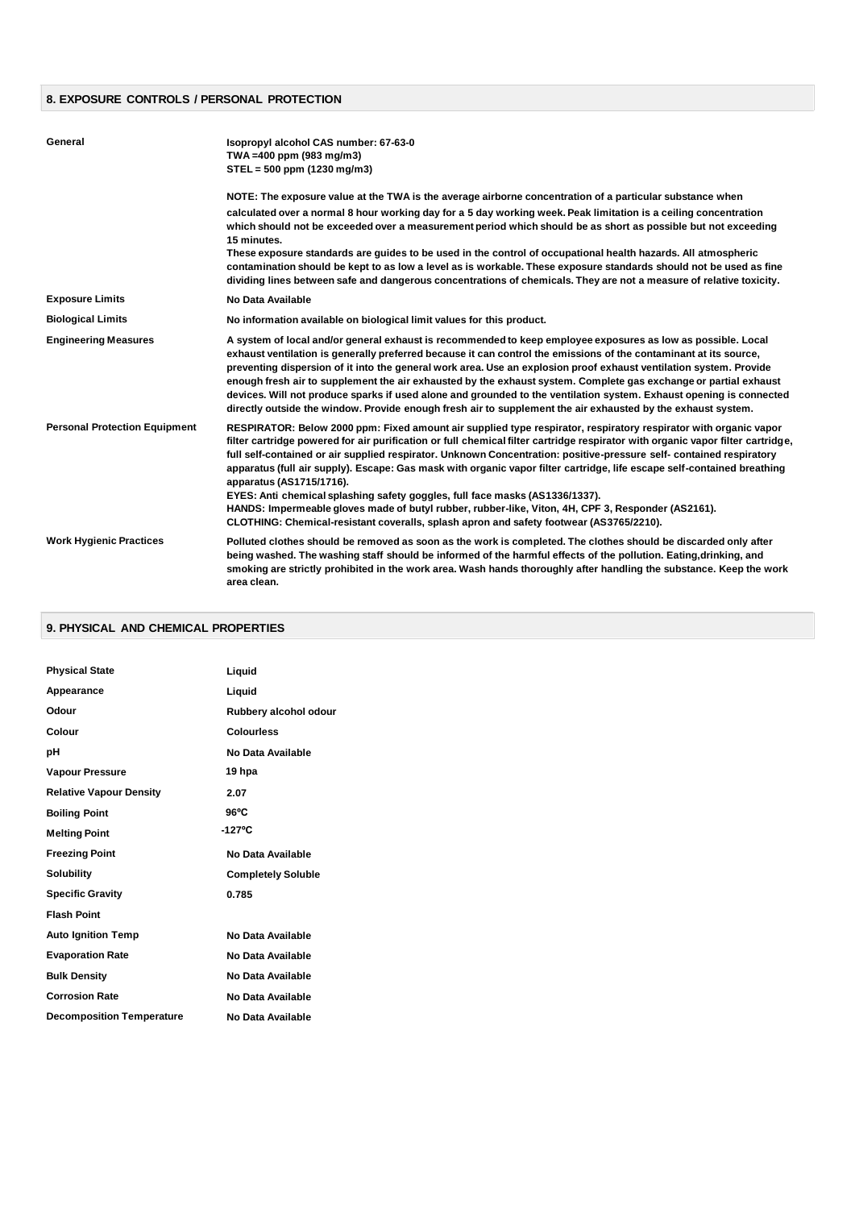# **8. EXPOSURE CONTROLS / PERSONAL PROTECTION**

| General                              | Isopropyl alcohol CAS number: 67-63-0<br>TWA =400 ppm (983 mg/m3)<br>$STEL = 500$ ppm (1230 mg/m3)                                                                                                                                                                                                                                                                                                                                                                                                                                                                                                                                                                                                                                                                                                                  |
|--------------------------------------|---------------------------------------------------------------------------------------------------------------------------------------------------------------------------------------------------------------------------------------------------------------------------------------------------------------------------------------------------------------------------------------------------------------------------------------------------------------------------------------------------------------------------------------------------------------------------------------------------------------------------------------------------------------------------------------------------------------------------------------------------------------------------------------------------------------------|
|                                      | NOTE: The exposure value at the TWA is the average airborne concentration of a particular substance when<br>calculated over a normal 8 hour working day for a 5 day working week. Peak limitation is a ceiling concentration<br>which should not be exceeded over a measurement period which should be as short as possible but not exceeding<br>15 minutes.                                                                                                                                                                                                                                                                                                                                                                                                                                                        |
|                                      | These exposure standards are guides to be used in the control of occupational health hazards. All atmospheric<br>contamination should be kept to as low a level as is workable. These exposure standards should not be used as fine<br>dividing lines between safe and dangerous concentrations of chemicals. They are not a measure of relative toxicity.                                                                                                                                                                                                                                                                                                                                                                                                                                                          |
| <b>Exposure Limits</b>               | No Data Available                                                                                                                                                                                                                                                                                                                                                                                                                                                                                                                                                                                                                                                                                                                                                                                                   |
| <b>Biological Limits</b>             | No information available on biological limit values for this product.                                                                                                                                                                                                                                                                                                                                                                                                                                                                                                                                                                                                                                                                                                                                               |
| <b>Engineering Measures</b>          | A system of local and/or general exhaust is recommended to keep employee exposures as low as possible. Local<br>exhaust ventilation is generally preferred because it can control the emissions of the contaminant at its source,<br>preventing dispersion of it into the general work area. Use an explosion proof exhaust ventilation system. Provide<br>enough fresh air to supplement the air exhausted by the exhaust system. Complete gas exchange or partial exhaust<br>devices. Will not produce sparks if used alone and grounded to the ventilation system. Exhaust opening is connected<br>directly outside the window. Provide enough fresh air to supplement the air exhausted by the exhaust system.                                                                                                  |
| <b>Personal Protection Equipment</b> | RESPIRATOR: Below 2000 ppm: Fixed amount air supplied type respirator, respiratory respirator with organic vapor<br>filter cartridge powered for air purification or full chemical filter cartridge respirator with organic vapor filter cartridge,<br>full self-contained or air supplied respirator. Unknown Concentration: positive-pressure self- contained respiratory<br>apparatus (full air supply). Escape: Gas mask with organic vapor filter cartridge, life escape self-contained breathing<br>apparatus (AS1715/1716).<br>EYES: Anti chemical splashing safety goggles, full face masks (AS1336/1337).<br>HANDS: Impermeable gloves made of butyl rubber, rubber-like, Viton, 4H, CPF 3, Responder (AS2161).<br>CLOTHING: Chemical-resistant coveralls, splash apron and safety footwear (AS3765/2210). |
| <b>Work Hygienic Practices</b>       | Polluted clothes should be removed as soon as the work is completed. The clothes should be discarded only after<br>being washed. The washing staff should be informed of the harmful effects of the pollution. Eating, drinking, and<br>smoking are strictly prohibited in the work area. Wash hands thoroughly after handling the substance. Keep the work<br>area clean.                                                                                                                                                                                                                                                                                                                                                                                                                                          |

# **9. PHYSICAL AND CHEMICAL PROPERTIES**

| <b>Physical State</b>            | Liquid                    |
|----------------------------------|---------------------------|
| Appearance                       | Liquid                    |
| Odour                            | Rubbery alcohol odour     |
| Colour                           | <b>Colourless</b>         |
| pH                               | No Data Available         |
| <b>Vapour Pressure</b>           | 19 hpa                    |
| <b>Relative Vapour Density</b>   | 2.07                      |
| <b>Boiling Point</b>             | $96^{\circ}$ C            |
| <b>Melting Point</b>             | $-127^{\circ}C$           |
| <b>Freezing Point</b>            | No Data Available         |
| <b>Solubility</b>                | <b>Completely Soluble</b> |
| <b>Specific Gravity</b>          | 0.785                     |
| <b>Flash Point</b>               |                           |
| <b>Auto Ignition Temp</b>        | No Data Available         |
| <b>Evaporation Rate</b>          | No Data Available         |
| <b>Bulk Density</b>              | No Data Available         |
| <b>Corrosion Rate</b>            | No Data Available         |
| <b>Decomposition Temperature</b> | No Data Available         |
|                                  |                           |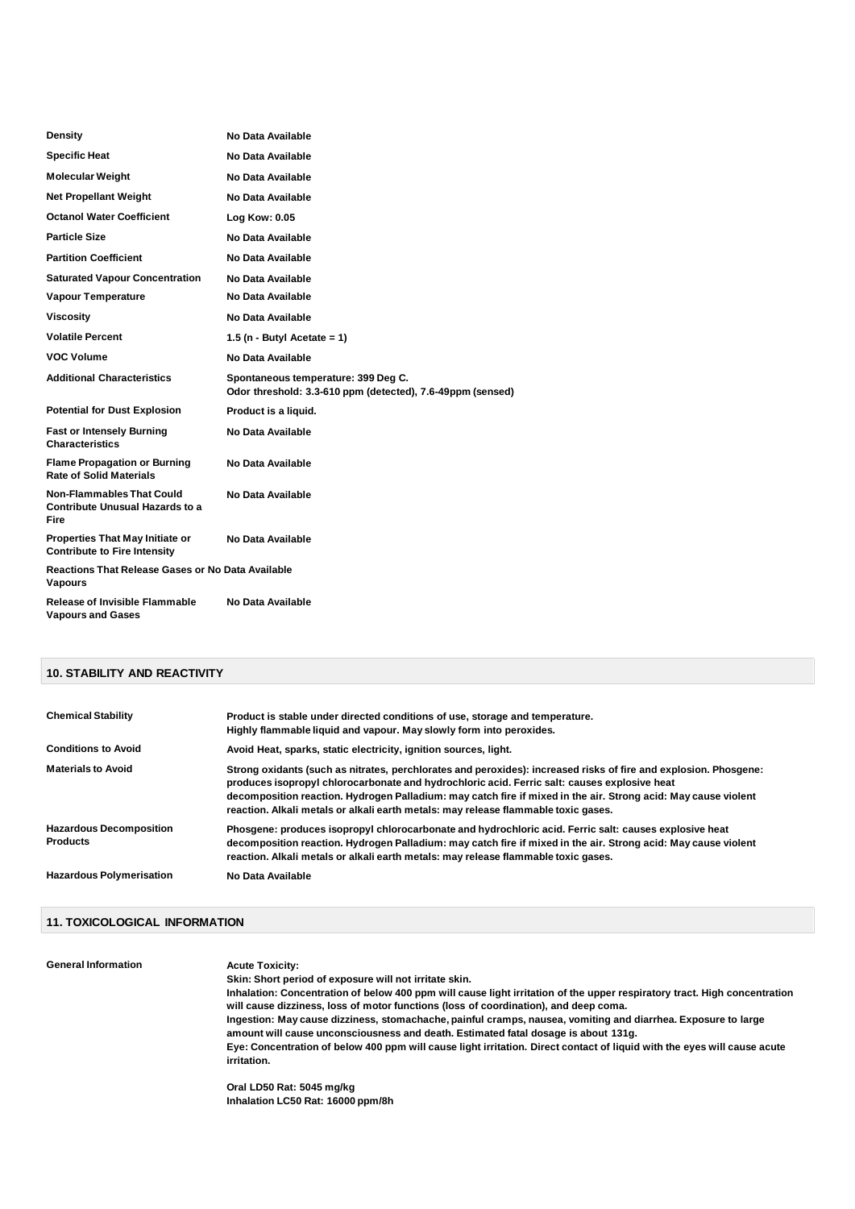| Density                                                                       | No Data Available                                                                                 |
|-------------------------------------------------------------------------------|---------------------------------------------------------------------------------------------------|
| <b>Specific Heat</b>                                                          | No Data Available                                                                                 |
| <b>Molecular Weight</b>                                                       | No Data Available                                                                                 |
| <b>Net Propellant Weight</b>                                                  | No Data Available                                                                                 |
| <b>Octanol Water Coefficient</b>                                              | Log Kow: 0.05                                                                                     |
| <b>Particle Size</b>                                                          | No Data Available                                                                                 |
| <b>Partition Coefficient</b>                                                  | No Data Available                                                                                 |
| <b>Saturated Vapour Concentration</b>                                         | No Data Available                                                                                 |
| <b>Vapour Temperature</b>                                                     | No Data Available                                                                                 |
| <b>Viscosity</b>                                                              | No Data Available                                                                                 |
| <b>Volatile Percent</b>                                                       | 1.5 (n - Butyl Acetate = 1)                                                                       |
| <b>VOC Volume</b>                                                             | No Data Available                                                                                 |
|                                                                               |                                                                                                   |
| <b>Additional Characteristics</b>                                             | Spontaneous temperature: 399 Deg C.<br>Odor threshold: 3.3-610 ppm (detected), 7.6-49ppm (sensed) |
| <b>Potential for Dust Explosion</b>                                           | Product is a liquid.                                                                              |
| <b>Fast or Intensely Burning</b><br><b>Characteristics</b>                    | No Data Available                                                                                 |
| <b>Flame Propagation or Burning</b><br><b>Rate of Solid Materials</b>         | No Data Available                                                                                 |
| <b>Non-Flammables That Could</b><br>Contribute Unusual Hazards to a<br>Fire   | No Data Available                                                                                 |
| <b>Properties That May Initiate or</b><br><b>Contribute to Fire Intensity</b> | No Data Available                                                                                 |
| Reactions That Release Gases or No Data Available<br><b>Vapours</b>           |                                                                                                   |

#### **10. STABILITY AND REACTIVITY**

| <b>Chemical Stability</b>                         | Product is stable under directed conditions of use, storage and temperature.<br>Highly flammable liquid and vapour. May slowly form into peroxides.                                                                                                                                                                                                                                                                      |
|---------------------------------------------------|--------------------------------------------------------------------------------------------------------------------------------------------------------------------------------------------------------------------------------------------------------------------------------------------------------------------------------------------------------------------------------------------------------------------------|
| <b>Conditions to Avoid</b>                        | Avoid Heat, sparks, static electricity, ignition sources, light.                                                                                                                                                                                                                                                                                                                                                         |
| <b>Materials to Avoid</b>                         | Strong oxidants (such as nitrates, perchlorates and peroxides): increased risks of fire and explosion. Phosgene:<br>produces isopropyl chlorocarbonate and hydrochloric acid. Ferric salt: causes explosive heat<br>decomposition reaction. Hydrogen Palladium: may catch fire if mixed in the air. Strong acid: May cause violent<br>reaction. Alkali metals or alkali earth metals: may release flammable toxic gases. |
| <b>Hazardous Decomposition</b><br><b>Products</b> | Phosgene: produces isopropyl chlorocarbonate and hydrochloric acid. Ferric salt: causes explosive heat<br>decomposition reaction. Hydrogen Palladium: may catch fire if mixed in the air. Strong acid: May cause violent<br>reaction. Alkali metals or alkali earth metals: may release flammable toxic gases.                                                                                                           |
| <b>Hazardous Polymerisation</b>                   | No Data Available                                                                                                                                                                                                                                                                                                                                                                                                        |

#### **11. TOXICOLOGICAL INFORMATION**

**General Information Acute Toxicity: Skin: Short period of exposure will not irritate skin. Inhalation: Concentration of below 400 ppm will cause light irritation of the upper respiratory tract. High concentration will cause dizziness, loss of motor functions (loss of coordination), and deep coma. Ingestion: May cause dizziness, stomachache, painful cramps, nausea, vomiting and diarrhea. Exposure to large amount will cause unconsciousness and death. Estimated fatal dosage is about 131g. Eye: Concentration of below 400 ppm will cause light irritation. Direct contact of liquid with the eyes will cause acute irritation.**

**Oral LD50 Rat: 5045 mg/kg Inhalation LC50 Rat: 16000 ppm/8h**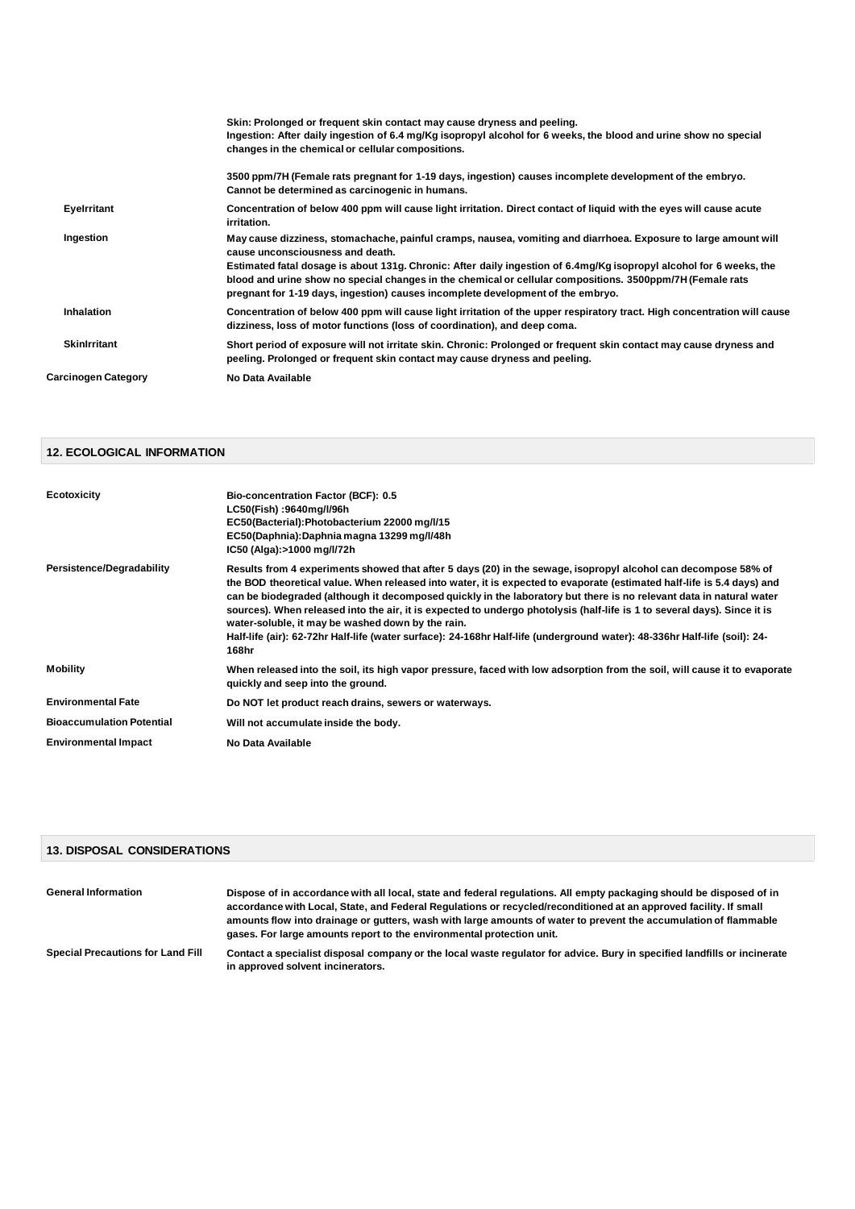|                            | Skin: Prolonged or frequent skin contact may cause dryness and peeling.<br>Ingestion: After daily ingestion of 6.4 mg/Kg isopropyl alcohol for 6 weeks, the blood and urine show no special<br>changes in the chemical or cellular compositions.                                                                                                                                                                                                                           |
|----------------------------|----------------------------------------------------------------------------------------------------------------------------------------------------------------------------------------------------------------------------------------------------------------------------------------------------------------------------------------------------------------------------------------------------------------------------------------------------------------------------|
|                            | 3500 ppm/7H (Female rats pregnant for 1-19 days, ingestion) causes incomplete development of the embryo.<br>Cannot be determined as carcinogenic in humans.                                                                                                                                                                                                                                                                                                                |
| Eyelrritant                | Concentration of below 400 ppm will cause light irritation. Direct contact of liguid with the eyes will cause acute<br>irritation.                                                                                                                                                                                                                                                                                                                                         |
| Ingestion                  | May cause dizziness, stomachache, painful cramps, nausea, vomiting and diarrhoea. Exposure to large amount will<br>cause unconsciousness and death.<br>Estimated fatal dosage is about 131g. Chronic: After daily ingestion of 6.4mg/Kg isopropyl alcohol for 6 weeks, the<br>blood and urine show no special changes in the chemical or cellular compositions. 3500ppm/7H (Female rats<br>pregnant for 1-19 days, ingestion) causes incomplete development of the embryo. |
| Inhalation                 | Concentration of below 400 ppm will cause light irritation of the upper respiratory tract. High concentration will cause<br>dizziness, loss of motor functions (loss of coordination), and deep coma.                                                                                                                                                                                                                                                                      |
| <b>Skinlrritant</b>        | Short period of exposure will not irritate skin. Chronic: Prolonged or frequent skin contact may cause dryness and<br>peeling. Prolonged or frequent skin contact may cause dryness and peeling.                                                                                                                                                                                                                                                                           |
| <b>Carcinogen Category</b> | No Data Available                                                                                                                                                                                                                                                                                                                                                                                                                                                          |

# **12. ECOLOGICAL INFORMATION**

| <b>Ecotoxicity</b>               | <b>Bio-concentration Factor (BCF): 0.5</b><br>LC50(Fish):9640mg/l/96h<br>EC50(Bacterial):Photobacterium 22000 mg/l/15<br>EC50(Daphnia):Daphnia magna 13299 mg/l/48h<br>IC50 (Alga):>1000 mg/l/72h                                                                                                                                                                                                                                                                                                                                                                                                                                                                                       |
|----------------------------------|-----------------------------------------------------------------------------------------------------------------------------------------------------------------------------------------------------------------------------------------------------------------------------------------------------------------------------------------------------------------------------------------------------------------------------------------------------------------------------------------------------------------------------------------------------------------------------------------------------------------------------------------------------------------------------------------|
| Persistence/Degradability        | Results from 4 experiments showed that after 5 days (20) in the sewage, isopropyl alcohol can decompose 58% of<br>the BOD theoretical value. When released into water, it is expected to evaporate (estimated half-life is 5.4 days) and<br>can be biodegraded (although it decomposed quickly in the laboratory but there is no relevant data in natural water<br>sources). When released into the air, it is expected to undergo photolysis (half-life is 1 to several days). Since it is<br>water-soluble, it may be washed down by the rain.<br>Half-life (air): 62-72hr Half-life (water surface): 24-168hr Half-life (underground water): 48-336hr Half-life (soil): 24-<br>168hr |
| Mobility                         | When released into the soil, its high vapor pressure, faced with low adsorption from the soil, will cause it to evaporate<br>quickly and seep into the ground.                                                                                                                                                                                                                                                                                                                                                                                                                                                                                                                          |
| <b>Environmental Fate</b>        | Do NOT let product reach drains, sewers or waterways.                                                                                                                                                                                                                                                                                                                                                                                                                                                                                                                                                                                                                                   |
| <b>Bioaccumulation Potential</b> | Will not accumulate inside the body.                                                                                                                                                                                                                                                                                                                                                                                                                                                                                                                                                                                                                                                    |
| <b>Environmental Impact</b>      | No Data Available                                                                                                                                                                                                                                                                                                                                                                                                                                                                                                                                                                                                                                                                       |

#### **13. DISPOSAL CONSIDERATIONS**

| <b>General Information</b>               | Dispose of in accordance with all local, state and federal regulations. All empty packaging should be disposed of in<br>accordance with Local, State, and Federal Regulations or recycled/reconditioned at an approved facility. If small<br>amounts flow into drainage or gutters, wash with large amounts of water to prevent the accumulation of flammable<br>gases. For large amounts report to the environmental protection unit. |
|------------------------------------------|----------------------------------------------------------------------------------------------------------------------------------------------------------------------------------------------------------------------------------------------------------------------------------------------------------------------------------------------------------------------------------------------------------------------------------------|
| <b>Special Precautions for Land Fill</b> | Contact a specialist disposal company or the local waste regulator for advice. Bury in specified landfills or incinerate<br>in approved solvent incinerators.                                                                                                                                                                                                                                                                          |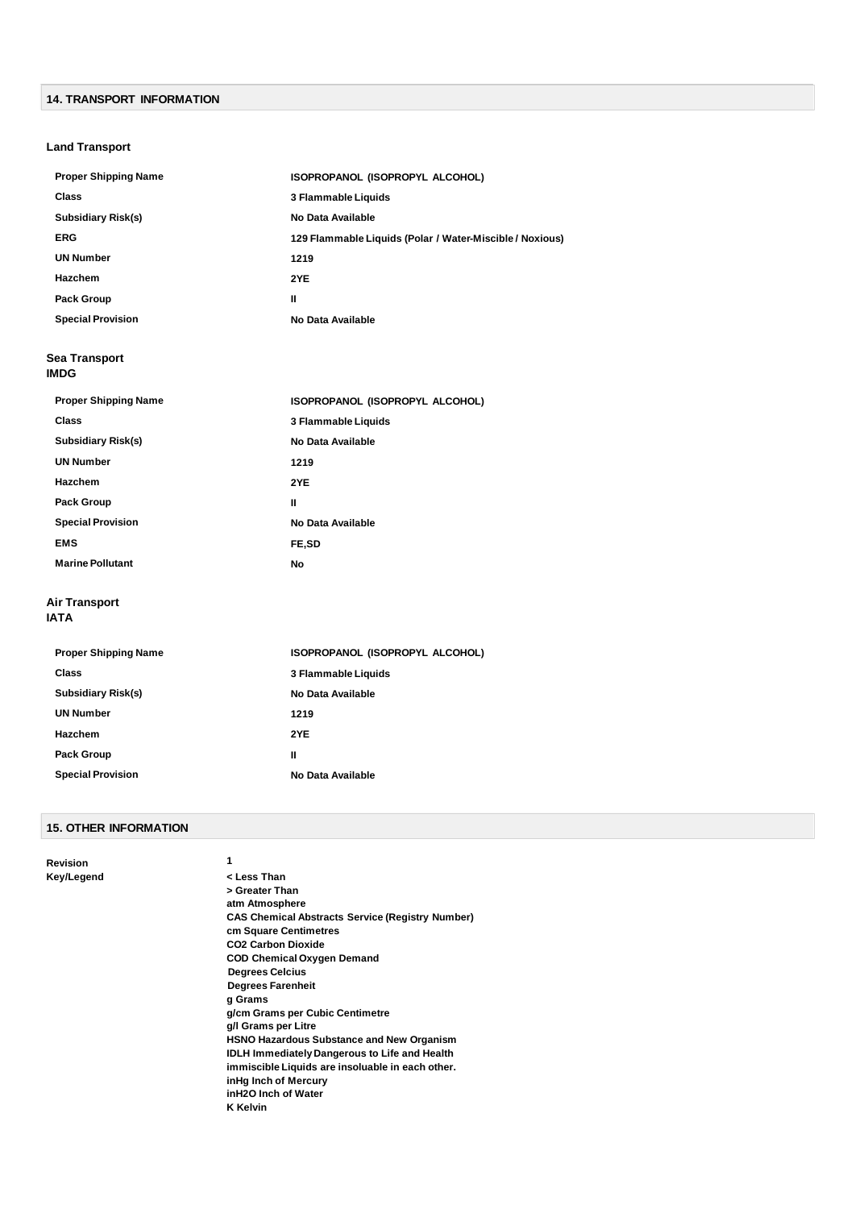# **14. TRANSPORT INFORMATION**

# **Land Transport**

| <b>Proper Shipping Name</b> | ISOPROPANOL (ISOPROPYL ALCOHOL)                          |
|-----------------------------|----------------------------------------------------------|
| <b>Class</b>                | 3 Flammable Liquids                                      |
| Subsidiary Risk(s)          | No Data Available                                        |
| <b>ERG</b>                  | 129 Flammable Liquids (Polar / Water-Miscible / Noxious) |
| <b>UN Number</b>            | 1219                                                     |
| <b>Hazchem</b>              | 2YE                                                      |
| <b>Pack Group</b>           | н                                                        |
| <b>Special Provision</b>    | No Data Available                                        |

#### **Sea Transport IMDG**

| <b>Proper Shipping Name</b>  | ISOPROPANOL (ISOPROPYL ALCOHOL) |
|------------------------------|---------------------------------|
| <b>Class</b>                 | 3 Flammable Liquids             |
| <b>Subsidiary Risk(s)</b>    | No Data Available               |
| <b>UN Number</b>             | 1219                            |
| Hazchem                      | 2YE                             |
| <b>Pack Group</b>            | ш                               |
| <b>Special Provision</b>     | No Data Available               |
| <b>EMS</b>                   | FE,SD                           |
| <b>Marine Pollutant</b>      | No                              |
| <b>Air Transport</b><br>IATA |                                 |
|                              |                                 |

| <b>Proper Shipping Name</b> | ISOPROPANOL (ISOPROPYL ALCOHOL) |
|-----------------------------|---------------------------------|
| Class                       | 3 Flammable Liquids             |
| Subsidiary Risk(s)          | No Data Available               |
| <b>UN Number</b>            | 1219                            |
| Hazchem                     | 2YE                             |
| <b>Pack Group</b>           | Ш                               |
| <b>Special Provision</b>    | No Data Available               |
|                             |                                 |

# **15. OTHER INFORMATION**

**Revision 1 Key/Legend < Less Than > Greater Than atm Atmosphere CAS Chemical Abstracts Service (Registry Number) cm Square Centimetres CO2 Carbon Dioxide COD Chemical Oxygen Demand Degrees Celcius Degrees Farenheit g Grams g/cm Grams per Cubic Centimetre g/l Grams per Litre HSNO Hazardous Substance and New Organism IDLH Immediately Dangerous to Life and Health immiscible Liquids are insoluable in each other. inHg Inch of Mercury inH2O Inch of Water K Kelvin**